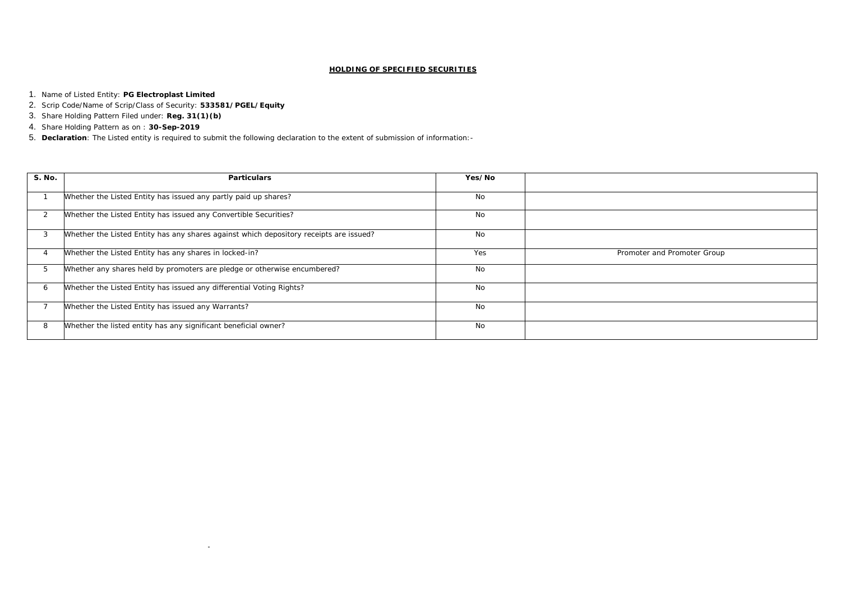## **HOLDING OF SPECIFIED SECURITIES**

- 1. Name of Listed Entity: **PG Electroplast Limited**
- 2. Scrip Code/Name of Scrip/Class of Security: **533581/PGEL/Equity**
- 3. Share Holding Pattern Filed under: **Reg. 31(1)(b)**
- 4. Share Holding Pattern as on : **30-Sep-2019**
- 5. **Declaration**: The Listed entity is required to submit the following declaration to the extent of submission of information:-

 $\sim$ 

| Prom |
|------|
|      |
|      |
|      |
|      |
|      |

noter and Promoter Group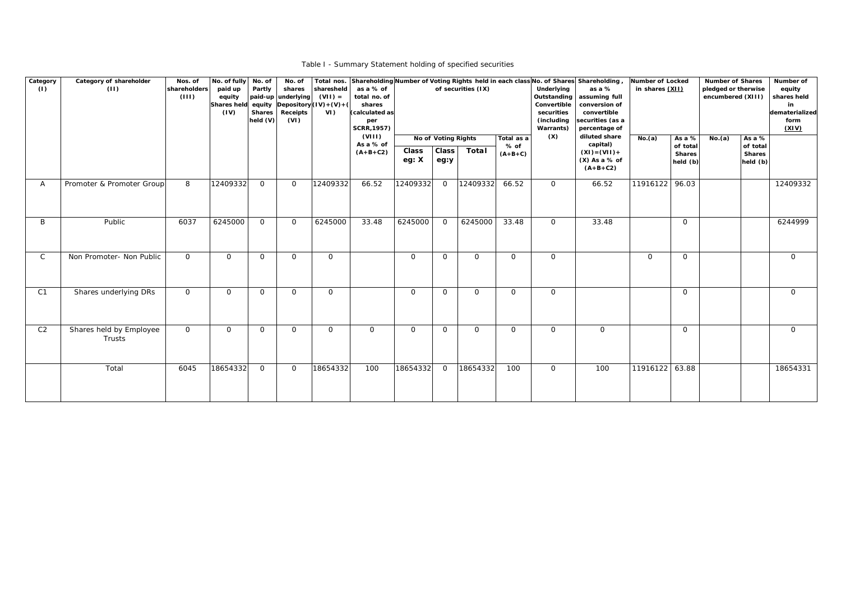| Category<br>(1) | Category of shareholder<br>(11)   | Nos. of<br>shareholders<br>(III) | No. of fully No. of<br>paid up<br>equity<br><b>Shares held</b><br>(IV) | Partly<br><b>Shares</b><br>held $(V)$ | No. of<br>shares<br>paid-up underlying<br>Receipts<br>(VI) | Total nos.<br>sharesheld<br>$(VII) =$<br>equity $ Depository  (IV)+(V)+( $<br>VI | as a % of<br>total no. of<br>shares<br>(calculated as<br>per<br><b>SCRR, 1957)</b><br>(VIII)<br>As a % of<br>$(A+B+C2)$ | Class<br>eg: X | No of Voting Rights<br>Class <sup>1</sup><br>eg:y | of securities (IX)<br>Total | Total as a<br>% of<br>$(A+B+C)$ | Underlying<br>Outstanding<br>Convertible<br>securities<br>(including<br>Warrants)<br>(X) | Shareholding Number of Voting Rights held in each class No. of Shares Shareholding,<br>as a %<br>assuming full<br>conversion of<br>convertible<br>securities (as a<br>percentage of<br>diluted share<br>capital)<br>$(XI) = (VII) +$<br>$(X)$ As a % of<br>$(A+B+C2)$ | Number of Locked<br>in shares (XII)<br>No.(a) | As a %<br>of total<br><b>Shares</b><br>held (b) | <b>Number of Shares</b><br>pledged or therwise<br>encumbered (XIII)<br>No.(a) | As a %<br>of total<br><b>Shares</b><br>held (b) | Number of<br>equity<br>shares held<br>in<br>dematerialized<br>form<br>(XIV) |
|-----------------|-----------------------------------|----------------------------------|------------------------------------------------------------------------|---------------------------------------|------------------------------------------------------------|----------------------------------------------------------------------------------|-------------------------------------------------------------------------------------------------------------------------|----------------|---------------------------------------------------|-----------------------------|---------------------------------|------------------------------------------------------------------------------------------|-----------------------------------------------------------------------------------------------------------------------------------------------------------------------------------------------------------------------------------------------------------------------|-----------------------------------------------|-------------------------------------------------|-------------------------------------------------------------------------------|-------------------------------------------------|-----------------------------------------------------------------------------|
| A               | Promoter & Promoter Group         | 8                                | 12409332                                                               | $\overline{O}$                        | $\overline{O}$                                             | 12409332                                                                         | 66.52                                                                                                                   | 12409332       | $\overline{O}$                                    | 12409332                    | 66.52                           | $\overline{O}$                                                                           | 66.52                                                                                                                                                                                                                                                                 | 11916122 96.03                                |                                                 |                                                                               |                                                 | 12409332                                                                    |
| B               | Public                            | 6037                             | 6245000                                                                | $\overline{O}$                        | $\overline{O}$                                             | 6245000                                                                          | 33.48                                                                                                                   | 6245000        | $\Omega$                                          | 6245000                     | 33.48                           | $\overline{O}$                                                                           | 33.48                                                                                                                                                                                                                                                                 |                                               | $\overline{O}$                                  |                                                                               |                                                 | 6244999                                                                     |
| $\mathsf{C}$    | Non Promoter- Non Public          | $\overline{O}$                   | $\overline{0}$                                                         | $\overline{O}$                        | $\overline{O}$                                             | $\overline{O}$                                                                   |                                                                                                                         | $\overline{0}$ | $\overline{O}$                                    | $\overline{O}$              | $\overline{0}$                  | $\overline{O}$                                                                           |                                                                                                                                                                                                                                                                       | $\overline{O}$                                | $\overline{O}$                                  |                                                                               |                                                 | $\overline{O}$                                                              |
| C <sub>1</sub>  | Shares underlying DRs             | $\overline{O}$                   | $\overline{0}$                                                         | $\overline{O}$                        | $\overline{O}$                                             | $\overline{O}$                                                                   |                                                                                                                         | $\overline{O}$ | $\Omega$                                          | $\overline{O}$              | $\overline{O}$                  | $\overline{O}$                                                                           |                                                                                                                                                                                                                                                                       |                                               | $\overline{O}$                                  |                                                                               |                                                 | $\overline{O}$                                                              |
| C <sub>2</sub>  | Shares held by Employee<br>Trusts | $\overline{O}$                   | $\overline{O}$                                                         | $\overline{O}$                        | $\overline{O}$                                             | $\Omega$                                                                         | $\Omega$                                                                                                                | $\overline{O}$ | $\Omega$                                          | $\overline{O}$              | $\overline{O}$                  | $\overline{0}$                                                                           | $\overline{O}$                                                                                                                                                                                                                                                        |                                               | $\Omega$                                        |                                                                               |                                                 | $\overline{O}$                                                              |
|                 | Total                             | 6045                             | 18654332                                                               | $\overline{O}$                        | $\overline{O}$                                             | 18654332                                                                         | 100                                                                                                                     | 18654332       | $\Omega$                                          | 18654332                    | 100                             | $\overline{O}$                                                                           | 100                                                                                                                                                                                                                                                                   | 11916122 63.88                                |                                                 |                                                                               |                                                 | 18654331                                                                    |

Table I - Summary Statement holding of specified securities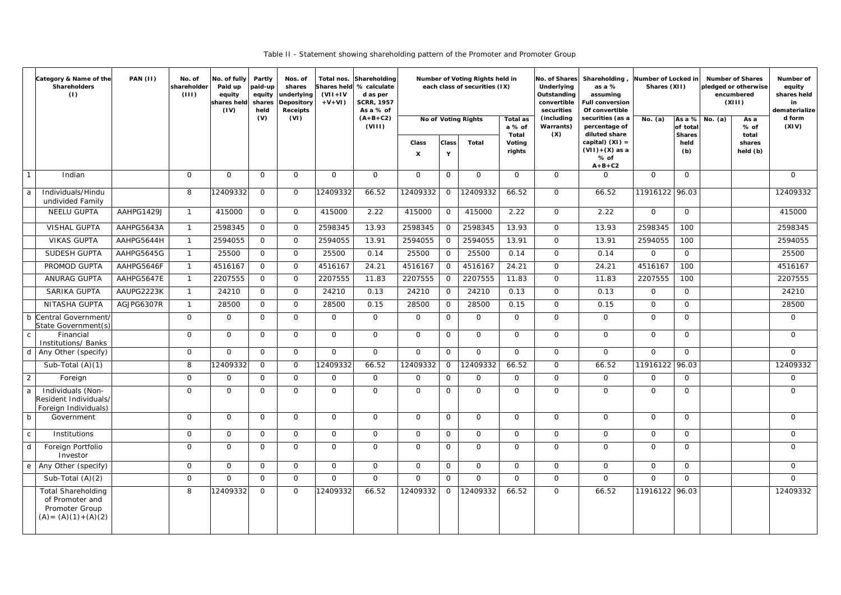Table II - Statement showing shareholding pattern of the Promoter and Promoter Group

|                | Category & Name of the<br>Shareholders<br>(1)                                             | <b>PAN (II)</b> | No. of<br>shareholder<br>(III) | No. of fully<br>Paid up<br>equity<br>shares held<br>(IV) | Partly<br>paid-up<br>equity<br>shares<br>held | Nos. of<br>shares<br>underlying<br>Depository<br><b>Receipts</b> | Total nos.<br>$(VII+IV)$<br>$+V+VI$ | Shareholding<br>Shares held % calculate<br>d as per<br><b>SCRR, 1957</b><br>As a % of |                                    |                   | Number of Voting Rights held in<br>each class of securities (IX) |                           | Underlying<br>Outstanding<br>convertible<br>securities | No. of Shares Shareholding,<br>as a %<br>assuming<br><b>Full conversion</b><br>Of convertible |                | Number of Locked in<br>Shares (XII) |                              | <b>Number of Shares</b><br>Number of<br>equity<br>pledged or otherwise<br>shares held<br>encumbered<br>(XIII)<br>in<br>dematerialize |                 |
|----------------|-------------------------------------------------------------------------------------------|-----------------|--------------------------------|----------------------------------------------------------|-----------------------------------------------|------------------------------------------------------------------|-------------------------------------|---------------------------------------------------------------------------------------|------------------------------------|-------------------|------------------------------------------------------------------|---------------------------|--------------------------------------------------------|-----------------------------------------------------------------------------------------------|----------------|-------------------------------------|------------------------------|--------------------------------------------------------------------------------------------------------------------------------------|-----------------|
|                |                                                                                           |                 |                                |                                                          | (V)                                           | (VI)                                                             |                                     | $(A+B+C2)$<br>(VIII)                                                                  |                                    |                   | No of Voting Rights                                              | <b>Total as</b><br>a % of | (including<br>Warrants)<br>(X)                         | securities (as a<br>percentage of<br>diluted share                                            | No. $(a)$      | of total                            | $\overline{As a \%}$ No. (a) | As a<br>% of                                                                                                                         | d form<br>(XIV) |
|                |                                                                                           |                 |                                |                                                          |                                               |                                                                  |                                     |                                                                                       | Class<br>$\boldsymbol{\mathsf{x}}$ | <b>Class</b><br>Y | Total                                                            | Total<br>Voting<br>rights |                                                        | capital) $(XI) =$<br>$(VII)+(X)$ as a<br>% of<br>$A+B+C2$                                     |                | <b>Shares</b><br>held<br>(b)        |                              | total<br>shares<br>held (b)                                                                                                          |                 |
|                | Indian                                                                                    |                 | $\Omega$                       | $\overline{O}$                                           | $\mathbf 0$                                   | $\overline{0}$                                                   | $\mathsf{O}$                        | $\overline{0}$                                                                        | $\overline{O}$                     | $\overline{O}$    | $\Omega$                                                         | $\mathsf{O}$              | $\overline{O}$                                         | $\Omega$                                                                                      | $\overline{O}$ | $\overline{O}$                      |                              |                                                                                                                                      | $\overline{O}$  |
| a              | Individuals/Hindu<br>undivided Family                                                     |                 | 8                              | 12409332                                                 | $\overline{0}$                                | $\overline{O}$                                                   | 12409332                            | 66.52                                                                                 | 12409332                           | $\overline{O}$    | 12409332                                                         | 66.52                     | $\overline{0}$                                         | 66.52                                                                                         | 11916122       | 96.03                               |                              |                                                                                                                                      | 12409332        |
|                | <b>NEELU GUPTA</b>                                                                        | AAHPG1429J      | $\overline{1}$                 | 415000                                                   | $\overline{O}$                                | $\overline{0}$                                                   | 415000                              | 2.22                                                                                  | 415000                             | $\overline{O}$    | 415000                                                           | 2.22                      | $\overline{O}$                                         | 2.22                                                                                          | $\overline{O}$ | $\overline{O}$                      |                              |                                                                                                                                      | 415000          |
|                | <b>VISHAL GUPTA</b>                                                                       | AAHPG5643A      | $\overline{1}$                 | 2598345                                                  | $\overline{O}$                                | $\overline{0}$                                                   | 2598345                             | 13.93                                                                                 | 2598345                            | $\overline{O}$    | 2598345                                                          | 13.93                     | $\overline{O}$                                         | 13.93                                                                                         | 2598345        | 100                                 |                              |                                                                                                                                      | 2598345         |
|                | <b>VIKAS GUPTA</b>                                                                        | AAHPG5644H      | $\overline{1}$                 | 2594055                                                  | $\overline{O}$                                | $\overline{0}$                                                   | 2594055                             | 13.91                                                                                 | 2594055                            | $\overline{O}$    | 2594055                                                          | 13.91                     | $\overline{O}$                                         | 13.91                                                                                         | 2594055        | 100                                 |                              |                                                                                                                                      | 2594055         |
|                | SUDESH GUPTA                                                                              | AAHPG5645G      | $\overline{1}$                 | 25500                                                    | $\overline{O}$                                | $\overline{0}$                                                   | 25500                               | 0.14                                                                                  | 25500                              | $\overline{O}$    | 25500                                                            | 0.14                      | $\overline{O}$                                         | 0.14                                                                                          | $\overline{O}$ | $\overline{0}$                      |                              |                                                                                                                                      | 25500           |
|                | PROMOD GUPTA                                                                              | AAHPG5646F      | $\overline{1}$                 | 4516167                                                  | $\mathbf 0$                                   | $\Omega$                                                         | 4516167                             | 24.21                                                                                 | 4516167                            | $\overline{O}$    | 4516167                                                          | 24.21                     | $\overline{0}$                                         | 24.21                                                                                         | 4516167        | 100                                 |                              |                                                                                                                                      | 4516167         |
|                | <b>ANURAG GUPTA</b>                                                                       | AAHPG5647E      | $\overline{1}$                 | 2207555                                                  | $\mathbf 0$                                   | $\Omega$                                                         | 2207555                             | 11.83                                                                                 | 2207555                            | $\overline{O}$    | 2207555                                                          | 11.83                     | $\overline{O}$                                         | 11.83                                                                                         | 2207555        | 100                                 |                              |                                                                                                                                      | 2207555         |
|                | <b>SARIKA GUPTA</b>                                                                       | AAUPG2223K      | $\mathbf{1}$                   | 24210                                                    | $\mathbf 0$                                   | $\overline{0}$                                                   | 24210                               | 0.13                                                                                  | 24210                              | $\overline{O}$    | 24210                                                            | 0.13                      | $\overline{0}$                                         | 0.13                                                                                          | $\overline{0}$ | $\Omega$                            |                              |                                                                                                                                      | 24210           |
|                | NITASHA GUPTA                                                                             | AGJPG6307R      | $\mathbf{1}$                   | 28500                                                    | $\mathbf 0$                                   | $\overline{0}$                                                   | 28500                               | 0.15                                                                                  | 28500                              | $\overline{0}$    | 28500                                                            | 0.15                      | $\overline{O}$                                         | 0.15                                                                                          | $\overline{O}$ | $\overline{0}$                      |                              |                                                                                                                                      | 28500           |
|                | b Central Government/<br>State Government(s)                                              |                 | $\Omega$                       | $\overline{O}$                                           | $\mathbf 0$                                   | $\Omega$                                                         | $\overline{O}$                      | $\overline{0}$                                                                        | $\overline{0}$                     | $\overline{O}$    | $\Omega$                                                         | $\overline{0}$            | $\overline{0}$                                         | $\overline{O}$                                                                                | $\overline{O}$ | $\Omega$                            |                              |                                                                                                                                      | $\overline{0}$  |
| $\mathsf{C}$   | Financial<br>Institutions/ Banks                                                          |                 | $\overline{O}$                 | $\overline{O}$                                           | $\overline{O}$                                | $\overline{O}$                                                   | $\overline{O}$                      | $\overline{O}$                                                                        | $\overline{O}$                     | $\mathsf{O}$      | $\overline{O}$                                                   | $\overline{O}$            | $\overline{O}$                                         | $\overline{0}$                                                                                | $\overline{O}$ | $\overline{0}$                      |                              |                                                                                                                                      | $\overline{O}$  |
|                | d   Any Other (specify)                                                                   |                 | $\overline{0}$                 | $\overline{O}$                                           | $\mathbf{O}$                                  | $\overline{0}$                                                   | $\mathsf{O}$                        | $\overline{O}$                                                                        | $\overline{O}$                     | $\overline{O}$    | $\Omega$                                                         | $\overline{0}$            | $\overline{0}$                                         | $\overline{O}$                                                                                | $\overline{0}$ | $\overline{O}$                      |                              |                                                                                                                                      | $\overline{O}$  |
|                | Sub-Total $(A)(1)$                                                                        |                 | 8                              | 12409332                                                 | $\overline{O}$                                | $\overline{O}$                                                   | 12409332                            | 66.52                                                                                 | 12409332                           | $\overline{O}$    | 12409332                                                         | 66.52                     | $\overline{O}$                                         | 66.52                                                                                         | 11916122       | 96.03                               |                              |                                                                                                                                      | 12409332        |
| $\overline{2}$ | Foreign                                                                                   |                 | $\Omega$                       | $\mathsf{O}$                                             | $\overline{0}$                                | $\mathsf{O}$                                                     | $\mathbf 0$                         | $\overline{O}$                                                                        | $\overline{0}$                     | $\overline{0}$    | $\Omega$                                                         | 0                         | $\overline{0}$                                         | $\overline{O}$                                                                                | $\overline{O}$ | $\overline{O}$                      |                              |                                                                                                                                      | $\overline{0}$  |
| a              | Individuals (Non-<br>Resident Individuals/<br>Foreign Individuals)                        |                 | $\overline{0}$                 | $\mathsf{O}$                                             | $\mathbf 0$                                   | $\overline{0}$                                                   | $\mathbf 0$                         | $\overline{O}$                                                                        | $\overline{0}$                     | $\mathsf{O}$      | $\overline{O}$                                                   | $\overline{0}$            | $\overline{0}$                                         | $\mathsf{O}$                                                                                  | $\mathsf{O}$   | $\overline{O}$                      |                              |                                                                                                                                      | $\overline{0}$  |
| b              | Government                                                                                |                 | $\overline{O}$                 | $\overline{O}$                                           | $\overline{0}$                                | $\overline{O}$                                                   | $\overline{0}$                      | $\overline{O}$                                                                        | $\overline{O}$                     | $\overline{O}$    | $\overline{O}$                                                   | $\overline{O}$            | $\overline{O}$                                         | $\overline{0}$                                                                                | $\overline{O}$ | $\overline{0}$                      |                              |                                                                                                                                      | $\overline{O}$  |
| ${\rm C}$      | Institutions                                                                              |                 | $\Omega$                       | $\Omega$                                                 | $\overline{O}$                                | $\Omega$                                                         | $\overline{O}$                      | $\overline{0}$                                                                        | $\overline{0}$                     | $\overline{O}$    | $\Omega$                                                         | $\overline{O}$            | $\overline{O}$                                         | $\overline{O}$                                                                                | $\overline{O}$ | $\overline{0}$                      |                              |                                                                                                                                      | $\overline{O}$  |
| d              | Foreign Portfolio<br>Investor                                                             |                 | $\Omega$                       | $\overline{O}$                                           | $\overline{O}$                                | $\overline{0}$                                                   | $\overline{O}$                      | $\overline{O}$                                                                        | $\overline{O}$                     | $\overline{O}$    | $\overline{0}$                                                   | $\overline{O}$            | $\overline{O}$                                         | $\overline{0}$                                                                                | $\overline{O}$ | $\overline{O}$                      |                              |                                                                                                                                      | $\overline{O}$  |
| $\mathbf{e}$   | Any Other (specify)                                                                       |                 | $\overline{0}$                 | $\overline{O}$                                           | $\overline{O}$                                | $\overline{0}$                                                   | $\overline{O}$                      | $\overline{0}$                                                                        | $\overline{0}$                     | $\overline{O}$    | $\overline{0}$                                                   | $\overline{O}$            | $\overline{O}$                                         | $\overline{O}$                                                                                | $\overline{O}$ | $\overline{O}$                      |                              |                                                                                                                                      | $\overline{O}$  |
|                | Sub-Total $(A)(2)$                                                                        |                 | $\overline{0}$                 | $\overline{O}$                                           | $\overline{O}$                                | $\overline{0}$                                                   | $\overline{O}$                      | $\overline{O}$                                                                        | $\overline{0}$                     | $\overline{0}$    | $\Omega$                                                         | $\overline{0}$            | $\overline{O}$                                         | $\overline{0}$                                                                                | $\overline{O}$ | $\overline{0}$                      |                              |                                                                                                                                      | $\overline{O}$  |
|                | <b>Total Shareholding</b><br>of Promoter and<br>Promoter Group<br>$(A) = (A)(1) + (A)(2)$ |                 | 8                              | 12409332                                                 | $\overline{O}$                                | $\Omega$                                                         | 12409332                            | 66.52                                                                                 | 12409332                           | $\overline{0}$    | 12409332                                                         | 66.52                     | $\overline{0}$                                         | 66.52                                                                                         | 11916122 96.03 |                                     |                              |                                                                                                                                      | 12409332        |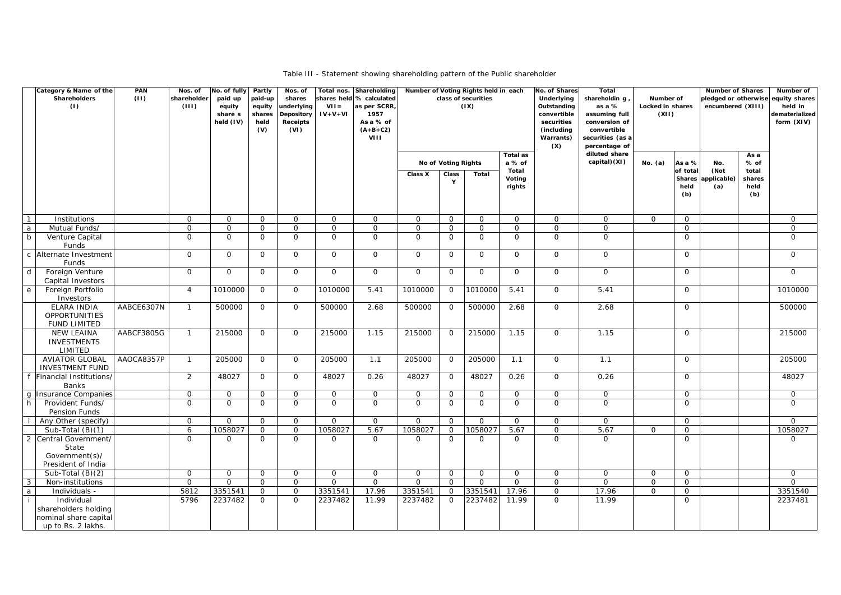Table III - Statement showing shareholding pattern of the Public shareholder

| Category & Name of the<br>Shareholders<br>(1)                                          | <b>PAN</b><br>(11) | Nos. of<br>shareholder<br>(III) | No. of fully Partly<br>paid up<br>equity<br>share s<br>held $(IV)$ | paid-up<br>equity<br>shares<br>held<br>(V) | Nos. of<br>shares<br>underlying<br>Depository<br>Receipts<br>(VI) | $VII =$<br>$IV + V + VI$ | Total nos. Shareholding<br>shares held % calculated<br>as per SCRR,<br>1957<br>As a % of<br>$(A+B+C2)$<br>VIII | Number of Voting Rights held in each |                       | class of securities<br>(IX) |                           | No. of Shares<br>Underlying<br>Outstanding<br>convertible<br>securities<br>(including<br>Warrants)<br>(X) | <b>Total</b><br>shareholdin g<br>as a %<br>assuming full<br>conversion of<br>convertible<br>securities (as a<br>percentage of | Number of<br>Locked in shares<br>(XII) |                         | <b>Number of Shares</b><br>pledged or otherwise equity shares<br>encumbered (XIII) |                                | Number of<br>held in<br>dematerialized<br>form (XIV) |
|----------------------------------------------------------------------------------------|--------------------|---------------------------------|--------------------------------------------------------------------|--------------------------------------------|-------------------------------------------------------------------|--------------------------|----------------------------------------------------------------------------------------------------------------|--------------------------------------|-----------------------|-----------------------------|---------------------------|-----------------------------------------------------------------------------------------------------------|-------------------------------------------------------------------------------------------------------------------------------|----------------------------------------|-------------------------|------------------------------------------------------------------------------------|--------------------------------|------------------------------------------------------|
|                                                                                        |                    |                                 |                                                                    |                                            |                                                                   |                          |                                                                                                                |                                      | No of Voting Rights   |                             | <b>Total as</b><br>a % of |                                                                                                           | diluted share<br>capital)(XI)                                                                                                 | No. $(a)$                              | As a %                  | No.                                                                                | As a<br>% of                   |                                                      |
|                                                                                        |                    |                                 |                                                                    |                                            |                                                                   |                          |                                                                                                                | Class X                              | Class<br>$\mathbf{Y}$ | <b>Total</b>                | Total<br>Voting<br>rights |                                                                                                           |                                                                                                                               |                                        | of total<br>held<br>(b) | (Not<br>Shares applicable)<br>(a)                                                  | total<br>shares<br>held<br>(b) |                                                      |
| $\overline{1}$<br>Institutions                                                         |                    | $\overline{O}$                  | $\overline{O}$                                                     | $\mathbf 0$                                | $\overline{O}$                                                    | $\mathsf{O}$             | $\overline{O}$                                                                                                 | $\mathsf{O}$                         | $\overline{O}$        | $\overline{O}$              | 0                         | $\overline{O}$                                                                                            | $\overline{O}$                                                                                                                | $\overline{O}$                         | $\mathsf{O}$            |                                                                                    |                                | $\overline{0}$                                       |
| Mutual Funds/<br>a                                                                     |                    | $\mathbf{O}$                    | $\mathsf{O}$                                                       | $\mathbf 0$                                | $\overline{O}$                                                    | $\mathbf 0$              | $\overline{O}$                                                                                                 | $\mathsf{O}$                         | $\overline{O}$        | $\overline{O}$              | $\mathsf{O}$              | $\overline{O}$                                                                                            | $\mathsf{O}$                                                                                                                  |                                        | $\mathbf 0$             |                                                                                    |                                | $\overline{0}$                                       |
| $\overline{b}$<br>Venture Capital<br>Funds                                             |                    | $\Omega$                        | $\Omega$                                                           | $\Omega$                                   | $\Omega$                                                          | $\mathbf 0$              | $\overline{O}$                                                                                                 | $\Omega$                             | $\Omega$              | $\Omega$                    | 0                         | $\overline{O}$                                                                                            | $\Omega$                                                                                                                      |                                        | $\Omega$                |                                                                                    |                                | $\Omega$                                             |
| c Alternate Investment<br>Funds                                                        |                    | $\mathbf{O}$                    | $\overline{O}$                                                     | $\mathbf 0$                                | $\overline{O}$                                                    | $\overline{0}$           | $\overline{O}$                                                                                                 | $\overline{O}$                       | $\overline{O}$        | $\overline{O}$              | $\overline{O}$            | $\overline{O}$                                                                                            | $\mathsf{O}$                                                                                                                  |                                        | $\mathsf{O}$            |                                                                                    |                                | $\overline{0}$                                       |
| $\mathsf{d}$<br>Foreign Venture<br>Capital Investors                                   |                    | $\overline{O}$                  | $\overline{O}$                                                     | $\overline{O}$                             | $\Omega$                                                          | $\overline{O}$           | $\overline{O}$                                                                                                 | $\overline{O}$                       | $\overline{O}$        | $\overline{0}$              | $\overline{O}$            | $\overline{O}$                                                                                            | $\overline{O}$                                                                                                                |                                        | $\Omega$                |                                                                                    |                                | $\overline{O}$                                       |
| Foreign Portfolio<br>e<br>Investors                                                    |                    | $\overline{4}$                  | 1010000                                                            | $\overline{0}$                             | $\overline{0}$                                                    | 1010000                  | 5.41                                                                                                           | 1010000                              | $\overline{O}$        | 1010000                     | 5.41                      | $\overline{O}$                                                                                            | 5.41                                                                                                                          |                                        | $\Omega$                |                                                                                    |                                | 1010000                                              |
| <b>ELARA INDIA</b><br><b>OPPORTUNITIES</b><br><b>FUND LIMITED</b>                      | AABCE6307N         | $\mathbf{1}$                    | 500000                                                             | $\overline{O}$                             | $\Omega$                                                          | 500000                   | 2.68                                                                                                           | 500000                               | $\Omega$              | 500000                      | 2.68                      | $\overline{O}$                                                                                            | 2.68                                                                                                                          |                                        | $\mathbf 0$             |                                                                                    |                                | 500000                                               |
| <b>NEW LEAINA</b><br><b>INVESTMENTS</b><br>LIMITED                                     | AABCF3805G         | $\overline{1}$                  | 215000                                                             | $\overline{0}$                             | $\overline{O}$                                                    | 215000                   | 1.15                                                                                                           | 215000                               | $\overline{O}$        | 215000                      | 1.15                      | $\overline{0}$                                                                                            | 1.15                                                                                                                          |                                        | $\mathsf{O}$            |                                                                                    |                                | 215000                                               |
| <b>AVIATOR GLOBAL</b><br><b>INVESTMENT FUND</b>                                        | AAOCA8357P         | $\mathbf{1}$                    | 205000                                                             | $\overline{0}$                             | $\overline{O}$                                                    | 205000                   | 1.1                                                                                                            | 205000                               | $\overline{O}$        | 205000                      | 1.1                       | $\overline{O}$                                                                                            | 1.1                                                                                                                           |                                        | $\overline{O}$          |                                                                                    |                                | 205000                                               |
| Financial Institutions/<br><b>Banks</b>                                                |                    | $\overline{2}$                  | 48027                                                              | $\mathbf 0$                                | $\overline{O}$                                                    | 48027                    | 0.26                                                                                                           | 48027                                | $\overline{O}$        | 48027                       | 0.26                      | $\overline{O}$                                                                                            | 0.26                                                                                                                          |                                        | $\Omega$                |                                                                                    |                                | 48027                                                |
| g Insurance Companies                                                                  |                    | $\overline{O}$                  | $\overline{0}$                                                     | $\mathbf 0$                                | $\Omega$                                                          | $\overline{O}$           | $\overline{O}$                                                                                                 | $\overline{O}$                       | $\overline{O}$        | $\mathbf 0$                 | $\mathsf{O}$              | $\overline{O}$                                                                                            | $\overline{O}$                                                                                                                |                                        | $\mathsf{O}$            |                                                                                    |                                | $\mathbf 0$                                          |
| h<br>Provident Funds/<br>Pension Funds                                                 |                    | $\mathbf 0$                     | 0                                                                  | $\mathbf 0$                                | $\Omega$                                                          | $\mathbf 0$              | $\overline{O}$                                                                                                 | $\overline{O}$                       | $\overline{O}$        | $\overline{O}$              | $\mathbf 0$               | $\overline{O}$                                                                                            | $\mathbf 0$                                                                                                                   |                                        | 0                       |                                                                                    |                                | $\mathsf{O}$                                         |
| Any Other (specify)                                                                    |                    | $\overline{0}$                  | $\overline{O}$                                                     | $\overline{0}$                             | $\overline{O}$                                                    | $\overline{0}$           | $\mathsf{O}$                                                                                                   | $\overline{O}$                       | $\overline{O}$        | $\overline{O}$              | $\overline{0}$            | $\overline{O}$                                                                                            | $\overline{0}$                                                                                                                |                                        | $\overline{0}$          |                                                                                    |                                | $\mathbf 0$                                          |
| Sub-Total $(B)(1)$                                                                     |                    | 6                               | 1058027                                                            | $\overline{0}$                             | $\overline{0}$                                                    | 1058027                  | 5.67                                                                                                           | 1058027                              | $\overline{O}$        | 1058027                     | 5.67                      | $\mathsf O$                                                                                               | 5.67                                                                                                                          | $\overline{0}$                         | $\mathbf 0$             |                                                                                    |                                | 1058027                                              |
| $\overline{2}$<br>Central Government/<br>State<br>Government(s)/<br>President of India |                    | $\mathbf 0$                     | $\overline{O}$                                                     | $\overline{0}$                             | $\Omega$                                                          | $\overline{O}$           | $\overline{O}$                                                                                                 | $\overline{O}$                       | $\Omega$              | $\overline{0}$              | $\mathbf 0$               | $\overline{O}$                                                                                            | $\Omega$                                                                                                                      |                                        | $\overline{O}$          |                                                                                    |                                | $\overline{0}$                                       |
| Sub-Total $(B)(2)$                                                                     |                    | $\overline{O}$                  | $\overline{O}$                                                     | $\overline{0}$                             | $\overline{O}$                                                    | $\overline{0}$           | $\mathsf{O}$                                                                                                   | $\overline{O}$                       | $\overline{O}$        | $\overline{O}$              | $\overline{O}$            | $\mathsf{O}$                                                                                              | $\overline{O}$                                                                                                                | $\overline{O}$                         | $\overline{0}$          |                                                                                    |                                | $\mathbf 0$                                          |
| 3<br>Non-institutions                                                                  |                    | $\overline{0}$                  | $\overline{0}$                                                     | $\overline{0}$                             | $\overline{0}$                                                    | $\mathsf{O}$             | $\mathsf{O}$                                                                                                   | $\overline{O}$                       | $\overline{O}$        | $\overline{O}$              | $\mathbf{O}$              | $\overline{O}$                                                                                            | $\overline{O}$                                                                                                                | $\mathbf 0$                            | $\mathbf 0$             |                                                                                    |                                | $\overline{0}$                                       |
| a<br>Individuals -                                                                     |                    | 5812                            | 3351541                                                            | $\overline{O}$                             | $\overline{O}$                                                    | 3351541                  | 17.96                                                                                                          | 3351541                              | $\overline{O}$        | 3351541                     | 17.96                     | $\mathsf{O}$                                                                                              | 17.96                                                                                                                         | $\mathbf{O}$                           | $\overline{0}$          |                                                                                    |                                | 3351540                                              |
| Individual<br>shareholders holding<br>nominal share capital<br>up to Rs. 2 lakhs.      |                    | 5796                            | 2237482                                                            | $\overline{O}$                             | $\overline{O}$                                                    | 2237482                  | 11.99                                                                                                          | 2237482                              | $\overline{O}$        | 2237482                     | 11.99                     | $\overline{0}$                                                                                            | 11.99                                                                                                                         |                                        | $\mathbf 0$             |                                                                                    |                                | 2237481                                              |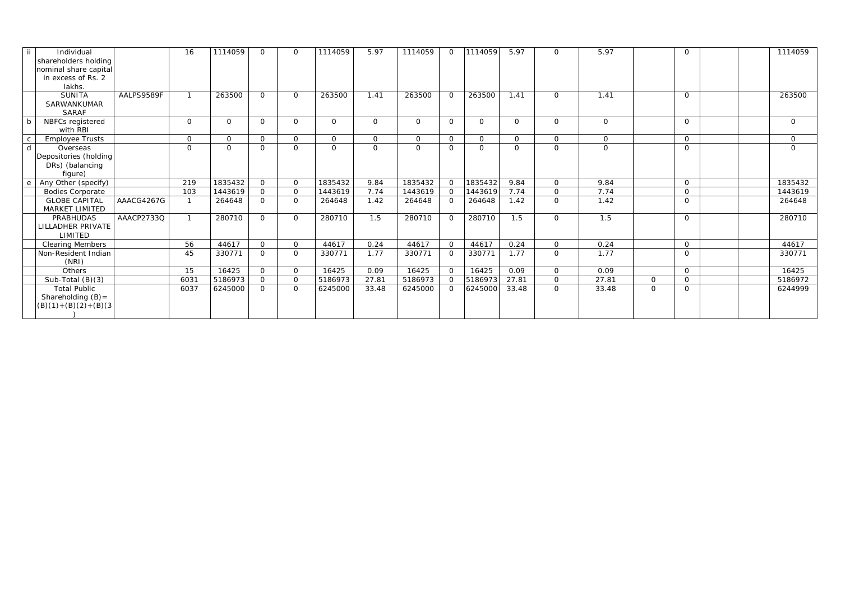| -ii          | Individual<br>shareholders holding<br>nominal share capital<br>in excess of Rs. 2<br>lakhs. | 16           | 1114059      | $\Omega$       | $\Omega$       | 1114059        | 5.97           | 1114059        | $\Omega$       | 1114059        | 5.97           | $\Omega$       | 5.97         |                | $\Omega$       |  | 1114059     |
|--------------|---------------------------------------------------------------------------------------------|--------------|--------------|----------------|----------------|----------------|----------------|----------------|----------------|----------------|----------------|----------------|--------------|----------------|----------------|--|-------------|
|              | <b>SUNITA</b><br>AALPS9589F<br>SARWANKUMAR<br><b>SARAF</b>                                  | $\mathbf{1}$ | 263500       | $\Omega$       | $\Omega$       | 263500         | 1.41           | 263500         | $\overline{O}$ | 263500         | 1.41           | $\overline{O}$ | 1.41         |                | $\Omega$       |  | 263500      |
| b            | NBFCs registered<br>with RBI                                                                | $\Omega$     | $\Omega$     | $\overline{O}$ | $\Omega$       | $\Omega$       | $\Omega$       | $\overline{O}$ | $\overline{O}$ | $\Omega$       | $\overline{O}$ | $\overline{O}$ | $\Omega$     |                | $\mathbf{O}$   |  | $\Omega$    |
| $\mathsf{C}$ | <b>Employee Trusts</b>                                                                      | $\Omega$     | $\Omega$     | $\overline{O}$ | $\Omega$       | $\Omega$       | $\Omega$       | $\overline{O}$ | $\overline{O}$ | $\Omega$       | $\mathbf{0}$   | $\overline{O}$ | $\Omega$     |                | $\overline{O}$ |  | $\Omega$    |
| d            | Overseas<br>Depositories (holding<br>DRs) (balancing<br>figure)                             | $\Omega$     | $\mathsf{O}$ | $\overline{0}$ | $\Omega$       | $\overline{0}$ | $\overline{O}$ | $\overline{O}$ | $\overline{O}$ | $\overline{O}$ | $\mathbf 0$    | $\overline{O}$ | $\mathbf{O}$ |                | $\mathbf 0$    |  | $\mathbf 0$ |
| e            | Any Other (specify)                                                                         | 219          | 1835432      | $\overline{O}$ | $\Omega$       | 1835432        | 9.84           | 1835432        | $\overline{O}$ | 1835432        | 9.84           | $\overline{O}$ | 9.84         |                | $\Omega$       |  | 1835432     |
|              | <b>Bodies Corporate</b>                                                                     | 103          | 1443619      | $\overline{0}$ | $\Omega$       | 1443619        | 7.74           | 1443619        | $\overline{O}$ | 1443619        | 7.74           | $\overline{0}$ | 7.74         |                | $\mathbf 0$    |  | 1443619     |
|              | <b>GLOBE CAPITAL</b><br>AAACG4267G<br><b>MARKET LIMITED</b>                                 | $\mathbf{1}$ | 264648       | $\mathbf 0$    | $\Omega$       | 264648         | 1.42           | 264648         | $\Omega$       | 264648         | 1.42           | $\overline{O}$ | 1.42         |                | $\Omega$       |  | 264648      |
|              | AAACP2733Q<br><b>PRABHUDAS</b><br>LILLADHER PRIVATE<br>LIMITED                              | $\mathbf{1}$ | 280710       | $\overline{O}$ | $\Omega$       | 280710         | 1.5            | 280710         | $\overline{0}$ | 280710         | 1.5            | $\overline{O}$ | 1.5          |                | $\Omega$       |  | 280710      |
|              | <b>Clearing Members</b>                                                                     | 56           | 44617        | $\overline{0}$ | $\overline{O}$ | 44617          | 0.24           | 44617          | $\overline{O}$ | 44617          | 0.24           | $\overline{O}$ | 0.24         |                | $\overline{O}$ |  | 44617       |
|              | Non-Resident Indian<br>(NRI)                                                                | 45           | 330771       | $\Omega$       | $\Omega$       | 330771         | 1.77           | 330771         | $\overline{O}$ | 330771         | 1.77           | $\overline{O}$ | 1.77         |                | $\mathbf{O}$   |  | 330771      |
|              | Others                                                                                      | 15           | 16425        | $\overline{O}$ | $\overline{O}$ | 16425          | 0.09           | 16425          | $\overline{O}$ | 16425          | 0.09           | $\overline{O}$ | 0.09         |                | $\overline{O}$ |  | 16425       |
|              | Sub-Total $(B)(3)$                                                                          | 6031         | 5186973      | $\overline{0}$ | $\overline{O}$ | 5186973        | 27.81          | 5186973        | $\Omega$       | 5186973        | 27.81          | $\overline{0}$ | 27.81        | $\overline{O}$ | $\mathbf 0$    |  | 5186972     |
|              | <b>Total Public</b><br>Shareholding $(B)$ =<br>$(B)(1)+(B)(2)+(B)(3)$                       | 6037         | 6245000      | $\overline{O}$ | $\overline{O}$ | 6245000        | 33.48          | 6245000        | $\overline{0}$ | 6245000        | 33.48          | $\overline{0}$ | 33.48        | $\Omega$       | $\mathbf{O}$   |  | 6244999     |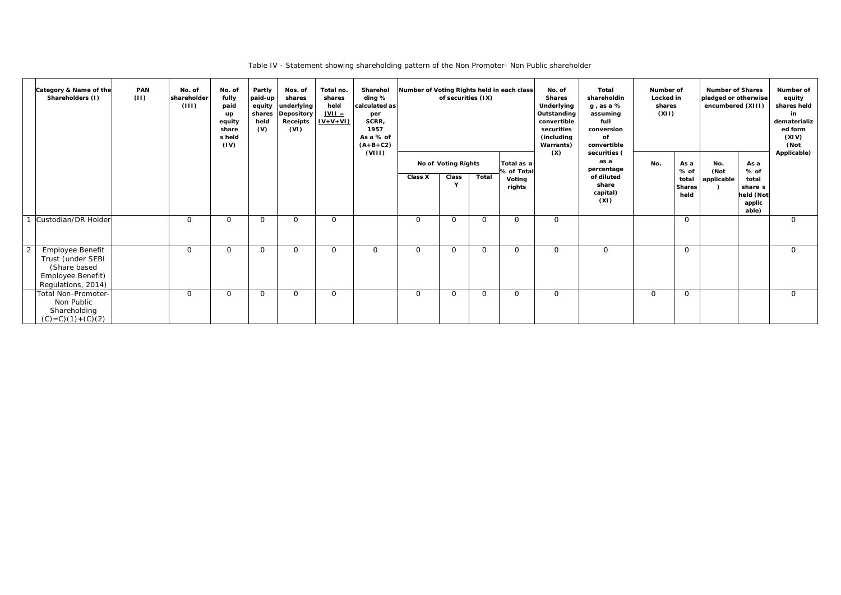Table IV - Statement showing shareholding pattern of the Non Promoter- Non Public shareholder

|                | Category & Name of the<br>Shareholders (I)                                                       | <b>PAN</b><br>(11) | No. of<br>shareholder<br>(III) | No. of<br>fully<br>paid<br>up<br>equity<br>share<br>s held<br>(IV) | Partly<br>paid-up<br>equity<br>shares<br>held<br>(V) | Nos. of<br>shares<br>underlying<br><b>Depository</b><br><b>Receipts</b><br>(VI) | Total no.<br>shares<br>held<br>$(VII =$<br>$IV+V+VI$ | Sharehol<br>ding %<br>calculated as<br>per<br>SCRR,<br>1957<br>As a % of<br>$(A+B+C2)$ | Number of Voting Rights held in each class | of securities (IX)         |          |                                | No. of<br><b>Shares</b><br>Underlying<br>Outstanding<br>convertible<br>securities<br>(including<br>Warrants) | Total<br>shareholdin<br>$g$ , as a %<br>assuming<br>full<br>conversion<br>of<br>convertible | Number of<br>Locked in<br>shares<br>(XII) |                                        | <b>Number of Shares</b><br>pledged or otherwise<br>encumbered (XIII) |                                                            | Number of<br>equity<br>shares held<br>in<br>dematerializ<br>ed form<br>(XIV)<br>(Not |
|----------------|--------------------------------------------------------------------------------------------------|--------------------|--------------------------------|--------------------------------------------------------------------|------------------------------------------------------|---------------------------------------------------------------------------------|------------------------------------------------------|----------------------------------------------------------------------------------------|--------------------------------------------|----------------------------|----------|--------------------------------|--------------------------------------------------------------------------------------------------------------|---------------------------------------------------------------------------------------------|-------------------------------------------|----------------------------------------|----------------------------------------------------------------------|------------------------------------------------------------|--------------------------------------------------------------------------------------|
|                |                                                                                                  |                    |                                |                                                                    |                                                      |                                                                                 |                                                      | (VIII)                                                                                 |                                            | <b>No of Voting Rights</b> |          | Total as a                     | (X)                                                                                                          | securities (<br>as a<br>percentage                                                          | No.                                       | As a                                   | No.                                                                  | As a                                                       | Applicable)                                                                          |
|                |                                                                                                  |                    |                                |                                                                    |                                                      |                                                                                 |                                                      |                                                                                        | <b>Class X</b>                             | Class<br>$\mathbf{Y}$      | Total    | % of Total<br>Voting<br>rights |                                                                                                              | of diluted<br>share<br>capital)<br>(XI)                                                     |                                           | % of<br>total<br><b>Shares</b><br>held | (Not<br>applicable                                                   | $%$ of<br>total<br>share s<br>held (Not<br>applic<br>able) |                                                                                      |
|                | Custodian/DR Holder                                                                              |                    | $\Omega$                       | $\mathsf{O}$                                                       | $\overline{O}$                                       | $\Omega$                                                                        | $\overline{O}$                                       |                                                                                        | $\overline{O}$                             | $\overline{O}$             | $\Omega$ | $\mathbf 0$                    | $\overline{O}$                                                                                               |                                                                                             |                                           | $\mathsf{O}$                           |                                                                      |                                                            | $\Omega$                                                                             |
| $\overline{2}$ | Employee Benefit<br>Trust (under SEBI<br>(Share based<br>Employee Benefit)<br>Regulations, 2014) |                    | $\Omega$                       | 0                                                                  | $\overline{O}$                                       | $\Omega$                                                                        | $\Omega$                                             | $\overline{O}$                                                                         | $\mathsf{O}$                               | $\overline{0}$             | $\Omega$ | $\mathsf{O}$                   | $\overline{O}$                                                                                               | $\overline{O}$                                                                              |                                           | $\mathbf 0$                            |                                                                      |                                                            | $\mathsf{O}$                                                                         |
|                | Total Non-Promoter-<br>Non Public<br>Shareholding<br>$(C) = C(1) + (C)(2)$                       |                    | $\overline{O}$                 | 0                                                                  | $\overline{O}$                                       | $\overline{O}$                                                                  | $\mathbf 0$                                          |                                                                                        | $\overline{O}$                             | $\overline{O}$             | $\Omega$ | $\mathsf{O}$                   | $\overline{O}$                                                                                               |                                                                                             | $\mathbf 0$                               | $\overline{O}$                         |                                                                      |                                                            | $\overline{O}$                                                                       |